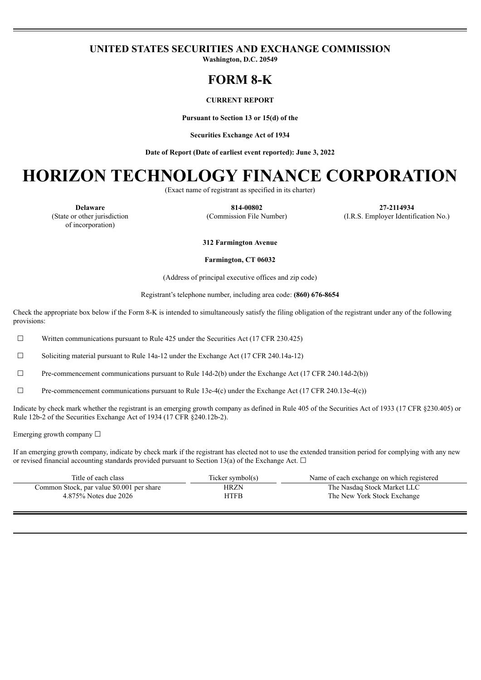### **UNITED STATES SECURITIES AND EXCHANGE COMMISSION**

**Washington, D.C. 20549**

## **FORM 8-K**

#### **CURRENT REPORT**

**Pursuant to Section 13 or 15(d) of the**

**Securities Exchange Act of 1934**

**Date of Report (Date of earliest event reported): June 3, 2022**

# **HORIZON TECHNOLOGY FINANCE CORPORATION**

(Exact name of registrant as specified in its charter)

(State or other jurisdiction of incorporation)

**Delaware 814-00802 27-2114934** (Commission File Number) (I.R.S. Employer Identification No.)

**312 Farmington Avenue**

#### **Farmington, CT 06032**

(Address of principal executive offices and zip code)

Registrant's telephone number, including area code: **(860) 676-8654**

Check the appropriate box below if the Form 8-K is intended to simultaneously satisfy the filing obligation of the registrant under any of the following provisions:

 $\Box$  Written communications pursuant to Rule 425 under the Securities Act (17 CFR 230.425)

 $\Box$  Soliciting material pursuant to Rule 14a-12 under the Exchange Act (17 CFR 240.14a-12)

 $\Box$  Pre-commencement communications pursuant to Rule 14d-2(b) under the Exchange Act (17 CFR 240.14d-2(b))

 $\Box$  Pre-commencement communications pursuant to Rule 13e-4(c) under the Exchange Act (17 CFR 240.13e-4(c))

Indicate by check mark whether the registrant is an emerging growth company as defined in Rule 405 of the Securities Act of 1933 (17 CFR §230.405) or Rule 12b-2 of the Securities Exchange Act of 1934 (17 CFR §240.12b-2).

Emerging growth company  $\Box$ 

If an emerging growth company, indicate by check mark if the registrant has elected not to use the extended transition period for complying with any new or revised financial accounting standards provided pursuant to Section 13(a) of the Exchange Act.  $\Box$ 

| Title of each class                       | Ticker symbol(s) | Name of each exchange on which registered |
|-------------------------------------------|------------------|-------------------------------------------|
| Common Stock, par value \$0.001 per share | HRZN             | The Nasdaq Stock Market LLC               |
| 4.875% Notes due 2026                     | <b>HTFB</b>      | The New York Stock Exchange               |
|                                           |                  |                                           |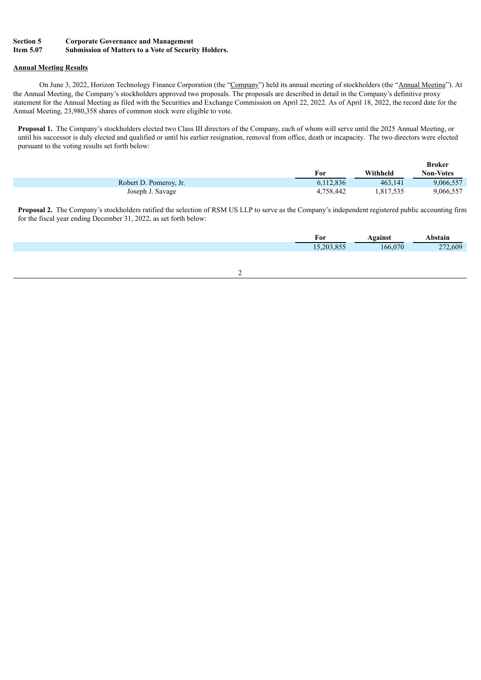#### **Section 5 Corporate Governance and Management Item 5.07 Submission of Matters to a Vote of Security Holders.**

#### **Annual Meeting Results**

On June 3, 2022, Horizon Technology Finance Corporation (the "Company") held its annual meeting of stockholders (the "Annual Meeting"). At the Annual Meeting, the Company's stockholders approved two proposals. The proposals are described in detail in the Company's definitive proxy statement for the Annual Meeting as filed with the Securities and Exchange Commission on April 22, 2022. As of April 18, 2022, the record date for the Annual Meeting, 23,980,358 shares of common stock were eligible to vote.

**Proposal 1.** The Company's stockholders elected two Class III directors of the Company, each of whom will serve until the 2025 Annual Meeting, or until his successor is duly elected and qualified or until his earlier resignation, removal from office, death or incapacity. The two directors were elected pursuant to the voting results set forth below:

|                        |           |           | <b>Broker</b>    |
|------------------------|-----------|-----------|------------------|
|                        | For       | Withheld  | <b>Non-Votes</b> |
| Robert D. Pomeroy, Jr. | 6,112,836 | 463.141   | 9,066,557        |
| Joseph J. Savage       | 4.758.442 | 1,817,535 | 9,066,557        |

**Proposal 2.** The Company's stockholders ratified the selection of RSM US LLP to serve as the Company's independent registered public accounting firm for the fiscal year ending December 31, 2022, as set forth below:

| For             | oainst                    | hstain |
|-----------------|---------------------------|--------|
| 20 <sup>2</sup> | 070<br>hf<br>$\mathbf{U}$ | .609   |
|                 |                           |        |

#### 2